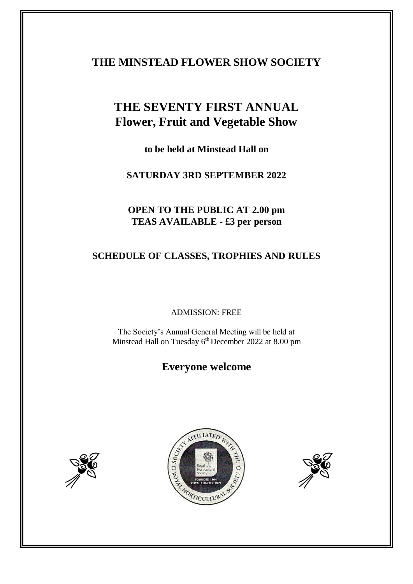## **THE MINSTEAD FLOWER SHOW SOCIETY**

# **THE SEVENTY FIRST ANNUAL Flower, Fruit and Vegetable Show**

**to be held at Minstead Hall on**

**SATURDAY 3RD SEPTEMBER 2022**

## **OPEN TO THE PUBLIC AT 2.00 pm TEAS AVAILABLE - £3 per person**

## **SCHEDULE OF CLASSES, TROPHIES AND RULES**

## ADMISSION: FREE

The Society's Annual General Meeting will be held at Minstead Hall on Tuesday 6<sup>th</sup> December 2022 at 8.00 pm

## **Everyone welcome**





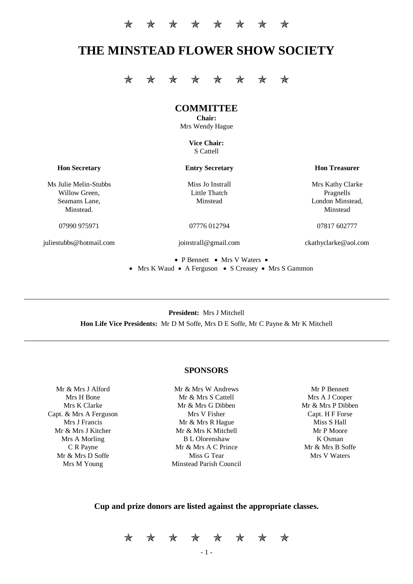## **THE MINSTEAD FLOWER SHOW SOCIETY**

\* \* \* \* \* \* \* \* \*

## **COMMITTEE**

**Chair:** Mrs Wendy Hague

> **Vice Chair:** S Cattell

**Hon Secretary Entry Secretary Hon Treasurer**

Ms Julie Melin-Stubbs Miss Jo Instrall Miss Hotel Mrs Kathy Clarke Willow Green. The Little Thatch Pragnells Pragnells Seamans Lane, Minstead Minstead London Minstead,

juliestubbs@hotmail.com joinstrall@gmail.com ckathyclarke@aol.com

Minstead. Minstead and the contract of the contract of the contract of the contract of the contract of the contract of the contract of the contract of the contract of the contract of the contract of the contract of the con

07990 975971 07776 012794 07990 07817 602777

• P Bennett • Mrs V Waters • • Mrs K Waud • A Ferguson • S Creasey • Mrs S Gammon

**President:** Mrs J Mitchell **Hon Life Vice Presidents:** Mr D M Soffe, Mrs D E Soffe, Mr C Payne & Mr K Mitchell

## **SPONSORS**

Mr & Mrs J Alford Mr & Mrs W Andrews Mr P Bennett Capt. & Mrs A Ferguson Mrs V Fisher Capt. H F Forse

Mrs H Bone Mr & Mrs S Cattell Mrs A J Cooper Mrs K Clarke Mrs Mr & Mrs G Dibben Mr & Mrs P Dibben Mrs J Francis **Mr & Mrs R Hague** Miss S Hall Mr & Mrs J Kitcher Mr & Mrs K Mitchell Mr & Mrs Mitchell Mr P Moore Mrs A Morling B L Olorenshaw K Osman C R Payne Mr & Mrs A C Prince Mr & Mrs B Soffe Mr & Mrs D Soffe Miss G Tear Miss G Tear Mrs V Waters Mrs M Young Minstead Parish Council

## **Cup and prize donors are listed against the appropriate classes.**

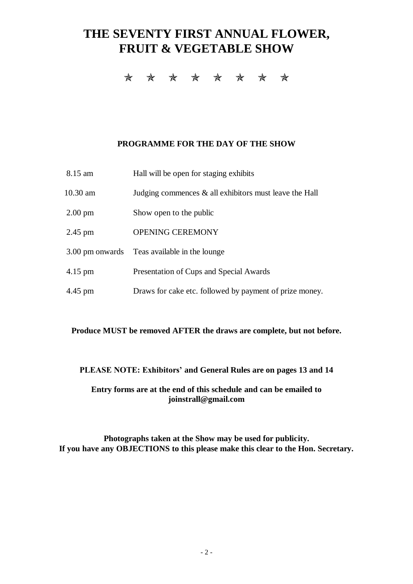# **THE SEVENTY FIRST ANNUAL FLOWER, FRUIT & VEGETABLE SHOW**

\* \* \* \* \* \* \* \*

## **PROGRAMME FOR THE DAY OF THE SHOW**

| 8.15 am           | Hall will be open for staging exhibits                    |
|-------------------|-----------------------------------------------------------|
| 10.30 am          | Judging commences $\&$ all exhibitors must leave the Hall |
| $2.00 \text{ pm}$ | Show open to the public                                   |
| $2.45$ pm         | <b>OPENING CEREMONY</b>                                   |
|                   | 3.00 pm onwards Teas available in the lounge              |
| $4.15 \text{ pm}$ | Presentation of Cups and Special Awards                   |
| 4.45 pm           | Draws for cake etc. followed by payment of prize money.   |

## **Produce MUST be removed AFTER the draws are complete, but not before.**

## **PLEASE NOTE: Exhibitors' and General Rules are on pages 13 and 14**

## **Entry forms are at the end of this schedule and can be emailed to joinstrall@gmail.com**

**Photographs taken at the Show may be used for publicity. If you have any OBJECTIONS to this please make this clear to the Hon. Secretary.**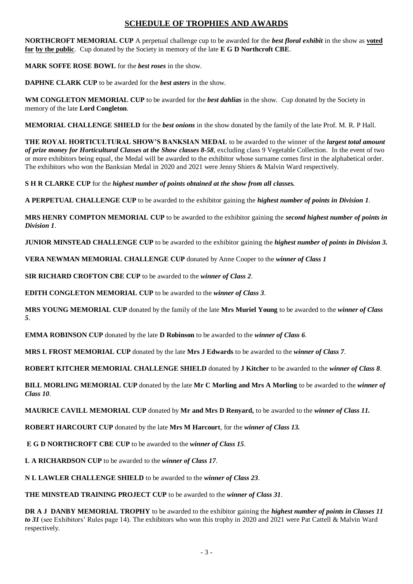## **SCHEDULE OF TROPHIES AND AWARDS**

**NORTHCROFT MEMORIAL CUP** A perpetual challenge cup to be awarded for the *best floral exhibit* in the show as **voted for by the public**. Cup donated by the Society in memory of the late **E G D Northcroft CBE**.

**MARK SOFFE ROSE BOWL** for the *best roses* in the show.

**DAPHNE CLARK CUP** to be awarded for the *best asters* in the show.

**WM CONGLETON MEMORIAL CUP** to be awarded for the *best dahlias* in the show. Cup donated by the Society in memory of the late **Lord Congleton**.

**MEMORIAL CHALLENGE SHIELD** for the *best onions* in the show donated by the family of the late Prof. M. R. P Hall.

**THE ROYAL HORTICULTURAL SHOW'S BANKSIAN MEDAL** to be awarded to the winner of the *largest total amount of prize money for Horticultural Classes at the Show classes 8-58,* excluding class 9 Vegetable Collection. In the event of two or more exhibitors being equal, the Medal will be awarded to the exhibitor whose surname comes first in the alphabetical order. The exhibitors who won the Banksian Medal in 2020 and 2021 were Jenny Shiers & Malvin Ward respectively.

**S H R CLARKE CUP** for the *highest number of points obtained at the show from all classes.*

**A PERPETUAL CHALLENGE CUP** to be awarded to the exhibitor gaining the *highest number of points in Division 1*.

**MRS HENRY COMPTON MEMORIAL CUP** to be awarded to the exhibitor gaining the *second highest number of points in Division 1*.

**JUNIOR MINSTEAD CHALLENGE CUP** to be awarded to the exhibitor gaining the *highest number of points in Division 3.*

**VERA NEWMAN MEMORIAL CHALLENGE CUP** donated by Anne Cooper to the *winner of Class 1*

**SIR RICHARD CROFTON CBE CUP** to be awarded to the *winner of Class 2*.

**EDITH CONGLETON MEMORIAL CUP** to be awarded to the *winner of Class 3*.

**MRS YOUNG MEMORIAL CUP** donated by the family of the late **Mrs Muriel Young** to be awarded to the *winner of Class 5*.

**EMMA ROBINSON CUP** donated by the late **D Robinson** to be awarded to the *winner of Class 6*.

**MRS L FROST MEMORIAL CUP** donated by the late **Mrs J Edwards** to be awarded to the *winner of Class 7*.

**ROBERT KITCHER MEMORIAL CHALLENGE SHIELD** donated by **J Kitcher** to be awarded to the *winner of Class 8*.

**BILL MORLING MEMORIAL CUP** donated by the late **Mr C Morling and Mrs A Morling** to be awarded to the *winner of Class 10*.

**MAURICE CAVILL MEMORIAL CUP** donated by **Mr and Mrs D Renyard,** to be awarded to the *winner of Class 11.*

**ROBERT HARCOURT CUP** donated by the late **Mrs M Harcourt**, for the *winner of Class 13.*

**E G D NORTHCROFT CBE CUP** to be awarded to the *winner of Class 15*.

**L A RICHARDSON CUP** to be awarded to the *winner of Class 17.*

**N L LAWLER CHALLENGE SHIELD** to be awarded to the *winner of Class 23*.

**THE MINSTEAD TRAINING PROJECT CUP** to be awarded to the *winner of Class 31*.

**DR A J DANBY MEMORIAL TROPHY** to be awarded to the exhibitor gaining the *highest number of points in Classes 11 to 31* (see Exhibitors' Rules page 14). The exhibitors who won this trophy in 2020 and 2021 were Pat Cattell & Malvin Ward respectively.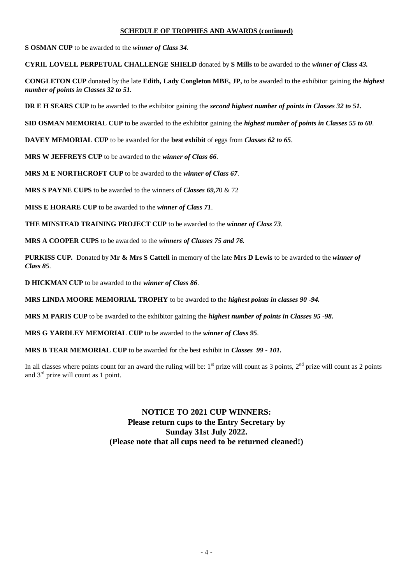## **SCHEDULE OF TROPHIES AND AWARDS (continued)**

**S OSMAN CUP** to be awarded to the *winner of Class 34*.

**CYRIL LOVELL PERPETUAL CHALLENGE SHIELD** donated by **S Mills** to be awarded to the *winner of Class 43.*

**CONGLETON CUP** donated by the late **Edith, Lady Congleton MBE, JP,** to be awarded to the exhibitor gaining the *highest number of points in Classes 32 to 51.*

**DR E H SEARS CUP** to be awarded to the exhibitor gaining the *second highest number of points in Classes 32 to 51.*

**SID OSMAN MEMORIAL CUP** to be awarded to the exhibitor gaining the *highest number of points in Classes 55 to 60*.

**DAVEY MEMORIAL CUP** to be awarded for the **best exhibit** of eggs from *Classes 62 to 65*.

**MRS W JEFFREYS CUP** to be awarded to the *winner of Class 66*.

**MRS M E NORTHCROFT CUP** to be awarded to the *winner of Class 67*.

**MRS S PAYNE CUPS** to be awarded to the winners of *Classes 69,7*0 & 72

**MISS E HORARE CUP** to be awarded to the *winner of Class 71*.

**THE MINSTEAD TRAINING PROJECT CUP** to be awarded to the *winner of Class 73*.

**MRS A COOPER CUPS** to be awarded to the *winners of Classes 75 and 76.*

**PURKISS CUP.** Donated by **Mr & Mrs S Cattell** in memory of the late **Mrs D Lewis** to be awarded to the *winner of Class 85*.

**D HICKMAN CUP** to be awarded to the *winner of Class 86*.

**MRS LINDA MOORE MEMORIAL TROPHY** to be awarded to the *highest points in classes 90 -94.*

**MRS M PARIS CUP** to be awarded to the exhibitor gaining the *highest number of points in Classes 95 -98.*

**MRS G YARDLEY MEMORIAL CUP** to be awarded to the *winner of Class 95*.

**MRS B TEAR MEMORIAL CUP** to be awarded for the best exhibit in *Classes 99 - 101.*

In all classes where points count for an award the ruling will be:  $1<sup>st</sup>$  prize will count as 3 points,  $2<sup>nd</sup>$  prize will count as 2 points and 3rd prize will count as 1 point.

> **NOTICE TO 2021 CUP WINNERS: Please return cups to the Entry Secretary by Sunday 31st July 2022. (Please note that all cups need to be returned cleaned!)**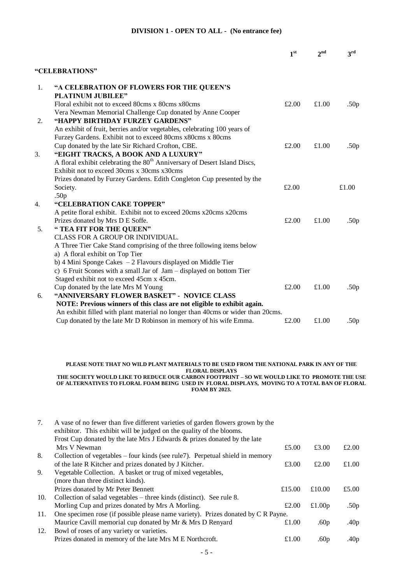#### **DIVISION 1 - OPEN TO ALL - (No entrance fee)**

|    |                                                                                       | 1 <sup>st</sup> | 2 <sub>nd</sub> | 3rd              |
|----|---------------------------------------------------------------------------------------|-----------------|-----------------|------------------|
|    | "CELEBRATIONS"                                                                        |                 |                 |                  |
| 1. | "A CELEBRATION OF FLOWERS FOR THE QUEEN'S                                             |                 |                 |                  |
|    | <b>PLATINUM JUBILEE"</b>                                                              |                 |                 |                  |
|    | Floral exhibit not to exceed 80cms x 80cms x 80cms                                    | £2.00           | £1.00           | .50 <sub>p</sub> |
|    | Vera Newman Memorial Challenge Cup donated by Anne Cooper                             |                 |                 |                  |
| 2. | "HAPPY BIRTHDAY FURZEY GARDENS"                                                       |                 |                 |                  |
|    | An exhibit of fruit, berries and/or vegetables, celebrating 100 years of              |                 |                 |                  |
|    | Furzey Gardens. Exhibit not to exceed 80cms x80cms x 80cms                            |                 |                 |                  |
|    | Cup donated by the late Sir Richard Crofton, CBE.                                     | £2.00           | £1.00           | .50 <sub>p</sub> |
| 3. | "EIGHT TRACKS, A BOOK AND A LUXURY"                                                   |                 |                 |                  |
|    | A floral exhibit celebrating the 80 <sup>th</sup> Anniversary of Desert Island Discs, |                 |                 |                  |
|    | Exhibit not to exceed 30cms x 30cms x30cms                                            |                 |                 |                  |
|    | Prizes donated by Furzey Gardens. Edith Congleton Cup presented by the                |                 |                 |                  |
|    | Society.                                                                              | £2.00           |                 | £1.00            |
|    | .50 <sub>p</sub>                                                                      |                 |                 |                  |
| 4. | "CELEBRATION CAKE TOPPER"                                                             |                 |                 |                  |
|    | A petite floral exhibit. Exhibit not to exceed 20cms x20cms x20cms                    |                 |                 |                  |
|    | Prizes donated by Mrs D E Soffe.                                                      | £2.00           | £1.00           | .50 <sub>p</sub> |
| 5. | " TEA FIT FOR THE QUEEN"                                                              |                 |                 |                  |
|    | CLASS FOR A GROUP OR INDIVIDUAL.                                                      |                 |                 |                  |
|    | A Three Tier Cake Stand comprising of the three following items below                 |                 |                 |                  |
|    | a) A floral exhibit on Top Tier                                                       |                 |                 |                  |
|    | b) 4 Mini Sponge Cakes $-2$ Flavours displayed on Middle Tier                         |                 |                 |                  |
|    | c) 6 Fruit Scones with a small Jar of Jam - displayed on bottom Tier                  |                 |                 |                  |
|    | Staged exhibit not to exceed 45cm x 45cm.                                             |                 |                 |                  |
|    | Cup donated by the late Mrs M Young                                                   | £2.00           | £1.00           | .50 <sub>p</sub> |
| 6. | "ANNIVERSARY FLOWER BASKET" - NOVICE CLASS                                            |                 |                 |                  |
|    | NOTE: Previous winners of this class are not eligible to exhibit again.               |                 |                 |                  |
|    | An exhibit filled with plant material no longer than 40cms or wider than 20cms.       |                 |                 |                  |
|    | Cup donated by the late Mr D Robinson in memory of his wife Emma.                     | £2.00           | £1.00           | .50 <sub>p</sub> |

#### **PLEASE NOTE THAT NO WILD PLANT MATERIALS TO BE USED FROM THE NATIONAL PARK IN ANY OF THE FLORAL DISPLAYS THE SOCIETY WOULD LIKE TO REDUCE OUR CARBON FOOTPRINT – SO WE WOULD LIKE TO PROMOTE THE USE**

## **OF ALTERNATIVES TO FLORAL FOAM BEING USED IN FLORAL DISPLAYS, MOVING TO A TOTAL BAN OF FLORAL FOAM BY 2023.**

| 7.  | A vase of no fewer than five different varieties of garden flowers grown by the   |        |                  |                  |
|-----|-----------------------------------------------------------------------------------|--------|------------------|------------------|
|     | exhibitor. This exhibit will be judged on the quality of the blooms.              |        |                  |                  |
|     | Frost Cup donated by the late Mrs J Edwards & prizes donated by the late          |        |                  |                  |
|     | Mrs V Newman                                                                      | £5.00  | £3.00            | £2.00            |
| 8.  | Collection of vegetables – four kinds (see rule7). Perpetual shield in memory     |        |                  |                  |
|     | of the late R Kitcher and prizes donated by J Kitcher.                            | £3.00  | £2.00            | £1.00            |
| 9.  | Vegetable Collection. A basket or trug of mixed vegetables,                       |        |                  |                  |
|     | (more than three distinct kinds).                                                 |        |                  |                  |
|     | Prizes donated by Mr Peter Bennett                                                | £15.00 | £10.00           | £5.00            |
| 10. | Collection of salad vegetables $-$ three kinds (distinct). See rule 8.            |        |                  |                  |
|     | Morling Cup and prizes donated by Mrs A Morling.                                  | £2.00  | £1.00 $p$        | .50 <sub>p</sub> |
| 11. | One specimen rose (if possible please name variety). Prizes donated by C R Payne. |        |                  |                  |
|     | Maurice Cavill memorial cup donated by Mr & Mrs D Renyard                         | £1.00  | .60 <sub>p</sub> | .40 <sub>p</sub> |
| 12. | Bowl of roses of any variety or varieties.                                        |        |                  |                  |
|     | Prizes donated in memory of the late Mrs M E Northcroft.                          | £1.00  | .60 <sub>p</sub> | .40p             |
|     |                                                                                   |        |                  |                  |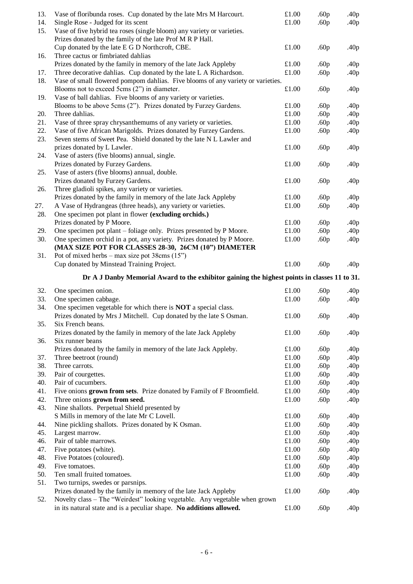| 13.<br>14. | Vase of floribunda roses. Cup donated by the late Mrs M Harcourt.<br>Single Rose - Judged for its scent                                           | $\pounds1.00$<br>£1.00 | .60 <sub>p</sub><br>.60 <sub>p</sub> | .40p<br>.40 <sub>p</sub> |
|------------|---------------------------------------------------------------------------------------------------------------------------------------------------|------------------------|--------------------------------------|--------------------------|
| 15.        | Vase of five hybrid tea roses (single bloom) any variety or varieties.<br>Prizes donated by the family of the late Prof M R P Hall.               |                        |                                      |                          |
|            | Cup donated by the late E G D Northcroft, CBE.                                                                                                    | £1.00                  | .60 <sub>p</sub>                     | .40 <sub>p</sub>         |
| 16.        | Three cactus or fimbriated dahlias                                                                                                                |                        |                                      |                          |
|            | Prizes donated by the family in memory of the late Jack Appleby                                                                                   | £1.00                  | .60 <sub>p</sub>                     | .40 <sub>p</sub>         |
| 17.        | Three decorative dahlias. Cup donated by the late L A Richardson.                                                                                 | £1.00                  | .60 <sub>p</sub>                     | .40 <sub>p</sub>         |
| 18.        | Vase of small flowered pompom dahlias. Five blooms of any variety or varieties.                                                                   |                        |                                      |                          |
|            | Blooms not to exceed 5cms (2") in diameter.                                                                                                       | £1.00                  | .60 <sub>p</sub>                     | .40 <sub>p</sub>         |
| 19.        | Vase of ball dahlias. Five blooms of any variety or varieties.                                                                                    |                        |                                      |                          |
|            | Blooms to be above 5cms (2"). Prizes donated by Furzey Gardens.                                                                                   | £1.00                  | .60 <sub>p</sub>                     | .40 <sub>p</sub>         |
| 20.        | Three dahlias.                                                                                                                                    | £1.00                  | .60 <sub>p</sub>                     | .40 <sub>p</sub>         |
| 21.        | Vase of three spray chrysanthemums of any variety or varieties.                                                                                   | £1.00                  | .60 <sub>p</sub>                     | .40 <sub>p</sub>         |
| 22.        | Vase of five African Marigolds. Prizes donated by Furzey Gardens.                                                                                 | £1.00                  | .60 <sub>p</sub>                     | .40 <sub>p</sub>         |
| 23.        | Seven stems of Sweet Pea. Shield donated by the late N L Lawler and                                                                               |                        |                                      |                          |
|            | prizes donated by L Lawler.                                                                                                                       | £1.00                  | .60 <sub>p</sub>                     | .40 <sub>p</sub>         |
| 24.        | Vase of asters (five blooms) annual, single.                                                                                                      |                        |                                      |                          |
|            | Prizes donated by Furzey Gardens.                                                                                                                 | £1.00                  | .60 <sub>p</sub>                     | .40 <sub>p</sub>         |
| 25.        | Vase of asters (five blooms) annual, double.                                                                                                      |                        |                                      |                          |
|            | Prizes donated by Furzey Gardens.                                                                                                                 | £1.00                  | .60 <sub>p</sub>                     | .40 <sub>p</sub>         |
| 26.        | Three gladioli spikes, any variety or varieties.                                                                                                  |                        |                                      |                          |
|            | Prizes donated by the family in memory of the late Jack Appleby                                                                                   | £1.00                  | .60 <sub>p</sub>                     | .40 <sub>p</sub>         |
| 27.        | A Vase of Hydrangeas (three heads), any variety or varieties.                                                                                     | £1.00                  | .60 <sub>p</sub>                     | .40 <sub>p</sub>         |
| 28.        | One specimen pot plant in flower (excluding orchids.)                                                                                             |                        |                                      |                          |
|            | Prizes donated by P Moore.                                                                                                                        | £1.00                  | .60 <sub>p</sub>                     | .40p                     |
| 29.        | One specimen pot plant – foliage only. Prizes presented by P Moore.                                                                               | £1.00                  | .60 <sub>p</sub>                     | .40p                     |
| 30.        | One specimen orchid in a pot, any variety. Prizes donated by P Moore.                                                                             | £1.00                  | .60 <sub>p</sub>                     | .40 <sub>p</sub>         |
|            | (MAX SIZE POT FOR CLASSES 28-30, 26CM (10") DIAMETER                                                                                              |                        |                                      |                          |
| 31.        | Pot of mixed herbs – max size pot 38cms $(15")$                                                                                                   |                        |                                      |                          |
|            |                                                                                                                                                   |                        |                                      |                          |
|            | Cup donated by Minstead Training Project.                                                                                                         | £1.00                  | .60 <sub>p</sub>                     | .40 <sub>p</sub>         |
|            | Dr A J Danby Memorial Award to the exhibitor gaining the highest points in classes 11 to 31.                                                      |                        |                                      |                          |
|            |                                                                                                                                                   |                        |                                      |                          |
| 32.        | One specimen onion.                                                                                                                               | £1.00                  | .60 <sub>p</sub>                     | .40 <sub>p</sub>         |
| 33.        | One specimen cabbage.                                                                                                                             | £1.00                  | .60 <sub>p</sub>                     | .40 <sub>p</sub>         |
| 34.        | One specimen vegetable for which there is <b>NOT</b> a special class.<br>Prizes donated by Mrs J Mitchell. Cup donated by the late S Osman.       | £1.00                  | .60 <sub>p</sub>                     | .40 <sub>p</sub>         |
| 35.        | Six French beans.                                                                                                                                 |                        |                                      |                          |
|            | Prizes donated by the family in memory of the late Jack Appleby                                                                                   | £1.00                  | .60 <sub>p</sub>                     | .40 <sub>p</sub>         |
| 36.        | Six runner beans                                                                                                                                  |                        |                                      |                          |
|            | Prizes donated by the family in memory of the late Jack Appleby.                                                                                  | £1.00                  | .60 <sub>p</sub>                     | .40 <sub>p</sub>         |
| 37.        | Three beetroot (round)                                                                                                                            | $\pounds1.00$          | .60 <sub>p</sub>                     | .40 <sub>p</sub>         |
| 38.        | Three carrots.                                                                                                                                    | $\pounds1.00$          | .60 <sub>p</sub>                     | .40 <sub>p</sub>         |
| 39.        | Pair of courgettes.                                                                                                                               | £1.00                  | .60 <sub>p</sub>                     | .40 <sub>p</sub>         |
| 40.        | Pair of cucumbers.                                                                                                                                | £1.00                  | .60 <sub>p</sub>                     | .40 <sub>p</sub>         |
| 41.        | Five onions grown from sets. Prize donated by Family of F Broomfield.                                                                             | £1.00                  | .60 <sub>p</sub>                     | .40 <sub>p</sub>         |
| 42.        | Three onions grown from seed.                                                                                                                     | £1.00                  | .60 <sub>p</sub>                     | .40 <sub>p</sub>         |
| 43.        | Nine shallots. Perpetual Shield presented by                                                                                                      |                        |                                      |                          |
|            | S Mills in memory of the late Mr C Lovell.                                                                                                        | £1.00                  | .60 <sub>p</sub>                     | .40 <sub>p</sub>         |
| 44.        | Nine pickling shallots. Prizes donated by K Osman.                                                                                                | £1.00                  | .60 <sub>p</sub>                     | .40 <sub>p</sub>         |
| 45.        | Largest marrow.                                                                                                                                   | $\pounds1.00$          | .60 <sub>p</sub>                     | .40 <sub>p</sub>         |
| 46.        | Pair of table marrows.                                                                                                                            | £1.00                  | .60 <sub>p</sub>                     | .40 <sub>p</sub>         |
| 47.        | Five potatoes (white).                                                                                                                            | £1.00                  | .60 <sub>p</sub>                     | .40 <sub>p</sub>         |
| 48.        | Five Potatoes (coloured).                                                                                                                         | £1.00                  | .60 <sub>p</sub>                     | .40 <sub>p</sub>         |
| 49.        | Five tomatoes.                                                                                                                                    | £1.00                  | .60 <sub>p</sub>                     | .40 <sub>p</sub>         |
| 50.        | Ten small fruited tomatoes.                                                                                                                       | £1.00                  | .60 <sub>p</sub>                     | .40 <sub>p</sub>         |
| 51.        | Two turnips, swedes or parsnips.                                                                                                                  |                        |                                      |                          |
|            | Prizes donated by the family in memory of the late Jack Appleby                                                                                   | £1.00                  | .60 <sub>p</sub>                     | .40 <sub>p</sub>         |
| 52.        | Novelty class - The "Weirdest" looking vegetable. Any vegetable when grown<br>in its natural state and is a peculiar shape. No additions allowed. | £1.00                  | .60 <sub>p</sub>                     | .40 <sub>p</sub>         |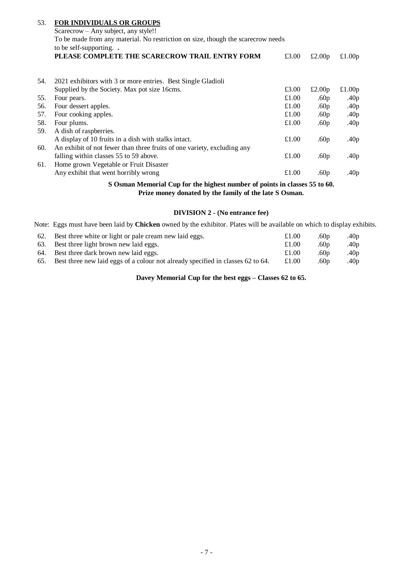| 53. | <b>FOR INDIVIDUALS OR GROUPS</b>                                                 |       |                  |                  |  |  |
|-----|----------------------------------------------------------------------------------|-------|------------------|------------------|--|--|
|     | Scarecrow – Any subject, any style!!                                             |       |                  |                  |  |  |
|     | To be made from any material. No restriction on size, though the scarecrow needs |       |                  |                  |  |  |
|     | to be self-supporting. $\cdot$                                                   |       |                  |                  |  |  |
|     | PLEASE COMPLETE THE SCARECROW TRAIL ENTRY FORM                                   | £3.00 | £2.00p           | £1.00 $p$        |  |  |
|     |                                                                                  |       |                  |                  |  |  |
| 54. | 2021 exhibitors with 3 or more entries. Best Single Gladioli                     |       |                  |                  |  |  |
|     | Supplied by the Society. Max pot size 16cms.                                     | £3.00 | £2.00p           | £1.00 $p$        |  |  |
| 55. | Four pears.                                                                      | £1.00 | .60p             | .40p             |  |  |
| 56. | Four dessert apples.                                                             | £1.00 | .60p             | .40 $p$          |  |  |
| 57. | Four cooking apples.                                                             | £1.00 | .60p             | .40p             |  |  |
| 58. | Four plums.                                                                      | £1.00 | .60 <sub>p</sub> | .40 $p$          |  |  |
| 59. | A dish of raspberries.                                                           |       |                  |                  |  |  |
|     | A display of 10 fruits in a dish with stalks intact.                             | £1.00 | .60 $p$          | .40p             |  |  |
| 60. | An exhibit of not fewer than three fruits of one variety, excluding any          |       |                  |                  |  |  |
|     | falling within classes 55 to 59 above.                                           | £1.00 | .60 $p$          | .40 <sub>p</sub> |  |  |
| 61. | Home grown Vegetable or Fruit Disaster                                           |       |                  |                  |  |  |
|     | Any exhibit that went horribly wrong                                             | £1.00 | .60p             | .40 $p$          |  |  |

**S Osman Memorial Cup for the highest number of points in classes 55 to 60. Prize money donated by the family of the late S Osman.**

## **DIVISION 2 - (No entrance fee)**

Note: Eggs must have been laid by **Chicken** owned by the exhibitor. Plates will be available on which to display exhibits.

| 62. Best three white or light or pale cream new laid eggs.                          | £1.00 | .60 <sub>p</sub> | .40 <sub>p</sub> |
|-------------------------------------------------------------------------------------|-------|------------------|------------------|
| 63. Best three light brown new laid eggs.                                           | £1.00 | .60p             | .40 <sub>p</sub> |
| 64. Best three dark brown new laid eggs.                                            | £1.00 | .60 p            | .40 <sub>p</sub> |
| 65. Best three new laid eggs of a colour not already specified in classes 62 to 64. | £1.00 | .60p             | .40p             |

**Davey Memorial Cup for the best eggs – Classes 62 to 65.**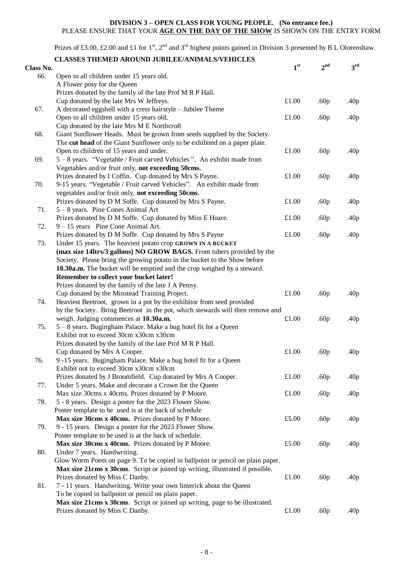#### **DIVISION 3 – OPEN CLASS FOR YOUNG PEOPLE. (No entrance fee.)** PLEASE ENSURE THAT YOUR **AGE ON THE DAY OF THE SHOW** IS SHOWN ON THE ENTRY FORM

Prizes of £3.00, £2.00 and £1 for 1<sup>st</sup>, 2<sup>nd</sup> and 3<sup>rd</sup> highest points gained in Division 3 presented by B L Olorenshaw.

|           | <b>CLASSES THEMED AROUND JUBILEE/ANIMALS/VEHICLES</b>                                           |                 |                  |                  |
|-----------|-------------------------------------------------------------------------------------------------|-----------------|------------------|------------------|
| Class No. |                                                                                                 | 1 <sup>st</sup> | 2 <sup>nd</sup>  | 3 <sup>rd</sup>  |
| 66.       | Open to all children under 15 years old.                                                        |                 |                  |                  |
|           | A Flower posy for the Queen                                                                     |                 |                  |                  |
|           | Prizes donated by the family of the late Prof M R P Hall.                                       |                 |                  |                  |
|           | Cup donated by the late Mrs W Jeffreys.                                                         | £1.00           | .60 <sub>p</sub> | .40p             |
| 67.       | A decorated eggshell with a cress hairstyle - Jubilee Theme                                     |                 |                  |                  |
|           | Open to all children under 15 years old.                                                        | £1.00           | .60 <sub>p</sub> | .40 <sub>p</sub> |
|           | Cup donated by the late Mrs M E Northcroft                                                      |                 |                  |                  |
| 68.       | Giant Sunflower Heads. Must be grown from seeds supplied by the Society.                        |                 |                  |                  |
|           | The cut head of the Giant Sunflower only to be exhibited on a paper plate.                      |                 |                  |                  |
|           | Open to children of 15 years and under.                                                         | £1.00           | .60 <sub>p</sub> | .40 <sub>p</sub> |
| 69.       | 5 – 8 years. "Vegetable / Fruit carved Vehicles". An exhibit made from                          |                 |                  |                  |
|           | Vegetables and/or fruit only, not exceeding 50cms.                                              |                 |                  |                  |
|           | Prizes donated by I Coffin. Cup donated by Mrs S Payne.                                         | £1.00           | .60 <sub>p</sub> | .40 <sub>p</sub> |
| 70.       | 9-15 years. "Vegetable / Fruit carved Vehicles". An exhibit made from                           |                 |                  |                  |
|           | vegetables and/or fruit only, not exceeding 50cms.                                              |                 |                  |                  |
|           | Prizes donated by D M Soffe. Cup donated by Mrs S Payne.                                        | £1.00           | .60 <sub>p</sub> | .40 <sub>p</sub> |
| 71.       | $5 - 8$ years. Pine Cones Animal Art                                                            |                 |                  |                  |
|           | Prizes donated by D M Soffe. Cup donated by Miss E Hoare.                                       | £1.00           |                  | .40 <sub>p</sub> |
| 72.       |                                                                                                 |                 | .60p             |                  |
|           | $9 - 15$ years Pine Cone Animal Art.<br>Prizes donated by D M Soffe. Cup donated by Mrs S Payne | £1.00           |                  |                  |
|           |                                                                                                 |                 | .60 <sub>p</sub> | .40 <sub>p</sub> |
| 73.       | Under 15 years. The heaviest potato crop GROWN IN A BUCKET                                      |                 |                  |                  |
|           | (max size 14ltrs/3 gallons) NO GROW BAGS. From tubers provided by the                           |                 |                  |                  |
|           | Society. Please bring the growing potato in the bucket to the Show before                       |                 |                  |                  |
|           | 10.30a.m. The bucket will be emptied and the crop weighed by a steward.                         |                 |                  |                  |
|           | Remember to collect your bucket later!                                                          |                 |                  |                  |
|           | Prizes donated by the family of the late J A Penny.                                             |                 |                  |                  |
|           | Cup donated by the Minstead Training Project.                                                   | £1.00           | .60 <sub>p</sub> | .40 <sub>p</sub> |
| 74.       | Heaviest Beetroot, grown in a pot by the exhibitor from seed provided                           |                 |                  |                  |
|           | by the Society. Bring Beetroot in the pot, which stewards will then remove and                  |                 |                  |                  |
|           | weigh. Judging commences at 10.30a.m.                                                           | $\pounds1.00$   | .60 <sub>p</sub> | .40 <sub>p</sub> |
| 75.       | 5 – 8 years. Bugingham Palace. Make a bug hotel fit for a Queen                                 |                 |                  |                  |
|           | Exhibit not to exceed 30cm x30cm x30cm                                                          |                 |                  |                  |
|           | Prizes donated by the family of the late Prof M R P Hall.                                       |                 |                  |                  |
|           | Cup donated by Mrs A Cooper.                                                                    | £1.00           | .60 <sub>p</sub> | .40 <sub>p</sub> |
| 76.       | 9-15 years. Bugingham Palace. Make a bug hotel fit for a Queen                                  |                 |                  |                  |
|           | Exhibit not to exceed 30cm x30cm x30cm                                                          |                 |                  |                  |
|           | Prizes donated by J Broomfield. Cup donated by Mrs A Cooper.                                    | £1.00           | .60 <sub>p</sub> | .40 <sub>p</sub> |
| 77.       | Under 5 years. Make and decorate a Crown for the Queen                                          |                 |                  |                  |
|           | Max size 30cms x 40cms. Prizes donated by P Moore.                                              | £1.00           | .60 <sub>p</sub> | .40 <sub>p</sub> |
| 78.       | 5 - 8 years. Design a poster for the 2023 Flower Show.                                          |                 |                  |                  |
|           | Poster template to be used is at the back of schedule                                           |                 |                  |                  |
|           | Max size 30cms x 40cms. Prizes donated by P Moore.                                              | £5.00           | .60 <sub>p</sub> | .40 <sub>p</sub> |
| 79.       | 9 - 15 years. Design a poster for the 2023 Flower Show.                                         |                 |                  |                  |
|           | Poster template to be used is at the back of schedule.                                          |                 |                  |                  |
|           | Max size 30cms x 40cms. Prizes donated by P Moore.                                              | £5.00           | .60 <sub>p</sub> | .40 <sub>p</sub> |
| 80.       | Under 7 years. Handwriting.                                                                     |                 |                  |                  |
|           | Glow Worm Poem on page 9. To be copied in ballpoint or pencil on plain paper.                   |                 |                  |                  |
|           | Max size 21cms x 30cms. Script or joined up writing, illustrated if possible.                   |                 |                  |                  |
|           | Prizes donated by Miss C Danby.                                                                 | £1.00           | .60 <sub>p</sub> | .40 <sub>p</sub> |
| 81.       | 7 - 11 years. Handwriting. Write your own limerick about the Queen                              |                 |                  |                  |
|           | To be copied in ballpoint or pencil on plain paper.                                             |                 |                  |                  |
|           | Max size 21cms x 30cms. Script or joined up writing, page to be illustrated.                    |                 |                  |                  |
|           | Prizes donated by Miss C Danby.                                                                 | £1.00           | .60 <sub>p</sub> | .40 <sub>p</sub> |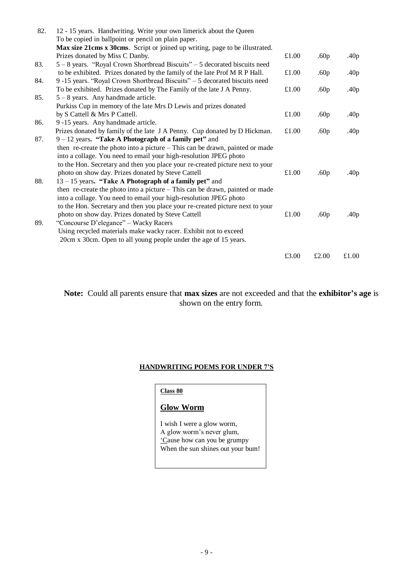| 82. | 12 - 15 years. Handwriting. Write your own limerick about the Queen<br>To be copied in ballpoint or pencil on plain paper. |       |                  |                  |
|-----|----------------------------------------------------------------------------------------------------------------------------|-------|------------------|------------------|
|     | Max size 21cms x 30cms. Script or joined up writing, page to be illustrated.                                               |       |                  |                  |
|     | Prizes donated by Miss C Danby.                                                                                            | £1.00 | .60 <sub>p</sub> | .40 <sub>p</sub> |
| 83. | 5 – 8 years. "Royal Crown Shortbread Biscuits" – 5 decorated biscuits need                                                 |       |                  |                  |
|     |                                                                                                                            | £1.00 |                  |                  |
|     | to be exhibited. Prizes donated by the family of the late Prof M R P Hall.                                                 |       | .60 <sub>p</sub> | .40 <sub>p</sub> |
| 84. | 9-15 years. "Royal Crown Shortbread Biscuits" - 5 decorated biscuits need                                                  |       |                  |                  |
|     | To be exhibited. Prizes donated by The Family of the late J A Penny.                                                       | £1.00 | .60 <sub>p</sub> | .40 $p$          |
| 85. | $5 - 8$ years. Any handmade article.                                                                                       |       |                  |                  |
|     | Purkiss Cup in memory of the late Mrs D Lewis and prizes donated                                                           |       |                  |                  |
|     | by S Cattell & Mrs P Cattell.                                                                                              | £1.00 | .60 <sub>p</sub> | .40 <sub>p</sub> |
| 86. | 9 -15 years. Any handmade article.                                                                                         |       |                  |                  |
|     | Prizes donated by family of the late J A Penny. Cup donated by D Hickman.                                                  | £1.00 | .60 <sub>p</sub> | .40 <sub>p</sub> |
| 87. | $9 - 12$ years. "Take A Photograph of a family pet" and                                                                    |       |                  |                  |
|     | then re-create the photo into a picture – This can be drawn, painted or made                                               |       |                  |                  |
|     | into a collage. You need to email your high-resolution JPEG photo                                                          |       |                  |                  |
|     | to the Hon. Secretary and then you place your re-created picture next to your                                              |       |                  |                  |
|     | photo on show day. Prizes donated by Steve Cattell                                                                         | £1.00 | .60 <sub>p</sub> | .40 <sub>p</sub> |
| 88. | $13 - 15$ years. "Take A Photograph of a family pet" and                                                                   |       |                  |                  |
|     | then re-create the photo into a picture - This can be drawn, painted or made                                               |       |                  |                  |
|     | into a collage. You need to email your high-resolution JPEG photo                                                          |       |                  |                  |
|     | to the Hon. Secretary and then you place your re-created picture next to your                                              |       |                  |                  |
|     | photo on show day. Prizes donated by Steve Cattell                                                                         | £1.00 | .60p             | .40 <sub>p</sub> |
| 89. | "Concourse D'elegance" - Wacky Racers                                                                                      |       |                  |                  |
|     | Using recycled materials make wacky racer. Exhibit not to exceed                                                           |       |                  |                  |
|     | 20cm x 30cm. Open to all young people under the age of 15 years.                                                           |       |                  |                  |
|     |                                                                                                                            |       |                  |                  |
|     |                                                                                                                            | £3.00 | £2.00            | £1.00            |
|     |                                                                                                                            |       |                  |                  |

**Note:** Could all parents ensure that **max sizes** are not exceeded and that the **exhibitor's age** is shown on the entry form.

## **HANDWRITING POEMS FOR UNDER 7'S**

**Class 80**

## **Glow Worm**

I wish I were a glow worm, A glow worm's never glum, 'Cause how can you be grumpy When the sun shines out your bum!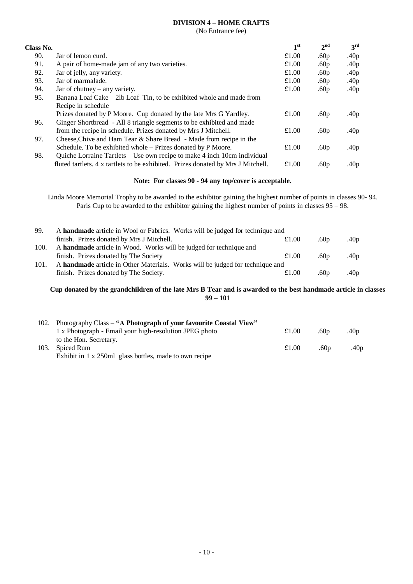## **DIVISION 4 – HOME CRAFTS**

(No Entrance fee)

| Class No. |                                                                                  | 1 <sup>st</sup> | 2 <sup>nd</sup>  | 3 <sup>rd</sup>  |
|-----------|----------------------------------------------------------------------------------|-----------------|------------------|------------------|
| 90.       | Jar of lemon curd.                                                               | £1.00           | .60 <sub>p</sub> | .40 $p$          |
| 91.       | A pair of home-made jam of any two varieties.                                    | £1.00           | .60 <sub>p</sub> | .40 $p$          |
| 92.       | Jar of jelly, any variety.                                                       | £1.00           | .60 <sub>p</sub> | .40 $p$          |
| 93.       | Jar of marmalade.                                                                | £1.00           | .60 <sub>p</sub> | .40 <sub>p</sub> |
| 94.       | Jar of chutney $-$ any variety.                                                  | £1.00           | .60 <sub>p</sub> | .40 $p$          |
| 95.       | Banana Loaf Cake – 2lb Loaf Tin, to be exhibited whole and made from             |                 |                  |                  |
|           | Recipe in schedule                                                               |                 |                  |                  |
|           | Prizes donated by P Moore. Cup donated by the late Mrs G Yardley.                | £1.00           | .60 <sub>p</sub> | .40p             |
| 96.       | Ginger Shortbread - All 8 triangle segments to be exhibited and made             |                 |                  |                  |
|           | from the recipe in schedule. Prizes donated by Mrs J Mitchell.                   | £1.00           | .60 <sub>p</sub> | .40 <sub>p</sub> |
| 97.       | Cheese, Chive and Ham Tear & Share Bread - Made from recipe in the               |                 |                  |                  |
|           | Schedule. To be exhibited whole – Prizes donated by P Moore.                     | £1.00           | .60 <sub>p</sub> | .40 <sub>p</sub> |
| 98.       | Quiche Lorraine Tartlets – Use own recipe to make 4 inch 10cm individual         |                 |                  |                  |
|           | fluted tartlets. 4 x tartlets to be exhibited. Prizes donated by Mrs J Mitchell. | £1.00           | .60 <sub>p</sub> | .40p             |

## **Note: For classes 90 - 94 any top/cover is acceptable.**

Linda Moore Memorial Trophy to be awarded to the exhibitor gaining the highest number of points in classes 90- 94. Paris Cup to be awarded to the exhibitor gaining the highest number of points in classes 95 – 98.

| 99.  | A handmade article in Wool or Fabrics. Works will be judged for technique and |       |                  |         |
|------|-------------------------------------------------------------------------------|-------|------------------|---------|
|      | finish. Prizes donated by Mrs J Mitchell.                                     | £1.00 | .60 $p$          | .40 $p$ |
| 100. | A handmade article in Wood. Works will be judged for technique and            |       |                  |         |
|      | finish. Prizes donated by The Society                                         | £1.00 | .60 <sub>p</sub> | .40 $p$ |
| 101. | A handmade article in Other Materials. Works will be judged for technique and |       |                  |         |
|      | finish. Prizes donated by The Society.                                        | £1.00 | .60 <sub>p</sub> | .40 $p$ |

## **Cup donated by the grandchildren of the late Mrs B Tear and is awarded to the best handmade article in classes 99 – 101**

| 102. | Photography Class – "A Photograph of your favourite Coastal View" |       |                  |                  |
|------|-------------------------------------------------------------------|-------|------------------|------------------|
|      | 1 x Photograph - Email your high-resolution JPEG photo            | £1.00 | .60 $p$          | .40 <sub>p</sub> |
|      | to the Hon. Secretary.                                            |       |                  |                  |
| 103. | Spiced Rum                                                        | £1.00 | .60 <sub>D</sub> | .40p             |
|      | Exhibit in 1 x 250ml glass bottles, made to own recipe            |       |                  |                  |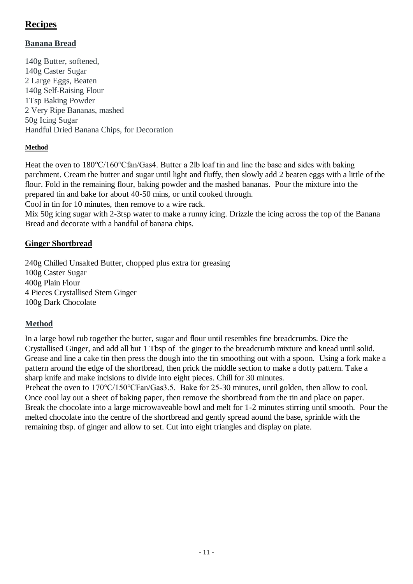## **Recipes**

## **Banana Bread**

140g Butter, softened, 140g Caster Sugar 2 Large Eggs, Beaten 140g Self-Raising Flour 1Tsp Baking Powder 2 Very Ripe Bananas, mashed 50g Icing Sugar Handful Dried Banana Chips, for Decoration

## **Method**

Heat the oven to 180℃/160℃fan/Gas4. Butter a 2lb loaf tin and line the base and sides with baking parchment. Cream the butter and sugar until light and fluffy, then slowly add 2 beaten eggs with a little of the flour. Fold in the remaining flour, baking powder and the mashed bananas. Pour the mixture into the prepared tin and bake for about 40-50 mins, or until cooked through.

Cool in tin for 10 minutes, then remove to a wire rack.

Mix 50g icing sugar with 2-3tsp water to make a runny icing. Drizzle the icing across the top of the Banana Bread and decorate with a handful of banana chips.

## **Ginger Shortbread**

240g Chilled Unsalted Butter, chopped plus extra for greasing 100g Caster Sugar 400g Plain Flour 4 Pieces Crystallised Stem Ginger 100g Dark Chocolate

## **Method**

In a large bowl rub together the butter, sugar and flour until resembles fine breadcrumbs. Dice the Crystallised Ginger, and add all but 1 Tbsp of the ginger to the breadcrumb mixture and knead until solid. Grease and line a cake tin then press the dough into the tin smoothing out with a spoon. Using a fork make a pattern around the edge of the shortbread, then prick the middle section to make a dotty pattern. Take a sharp knife and make incisions to divide into eight pieces. Chill for 30 minutes.

Preheat the oven to 170°C/150°CFan/Gas3.5. Bake for 25-30 minutes, until golden, then allow to cool. Once cool lay out a sheet of baking paper, then remove the shortbread from the tin and place on paper. Break the chocolate into a large microwaveable bowl and melt for 1-2 minutes stirring until smooth. Pour the melted chocolate into the centre of the shortbread and gently spread aound the base, sprinkle with the remaining tbsp. of ginger and allow to set. Cut into eight triangles and display on plate.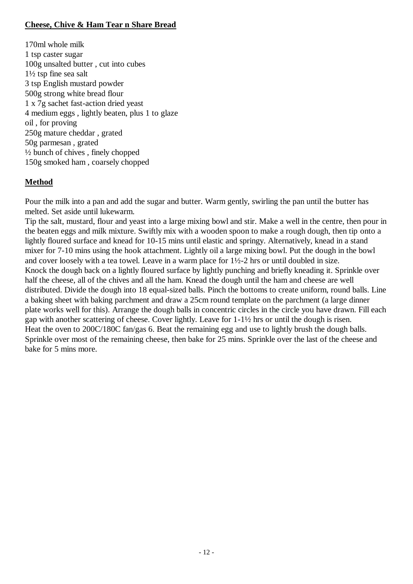## **Cheese, Chive & Ham Tear n Share Bread**

170ml whole milk 1 tsp caster sugar 100g unsalted butter , cut into cubes 1½ tsp fine sea salt 3 tsp English mustard powder 500g strong white bread flour 1 x 7g sachet fast-action dried yeast 4 medium eggs , lightly beaten, plus 1 to glaze oil , for proving 250g mature cheddar , grated 50g parmesan , grated ½ bunch of chives , finely chopped 150g smoked ham , coarsely chopped

## **Method**

Pour the milk into a pan and add the sugar and butter. Warm gently, swirling the pan until the butter has melted. Set aside until lukewarm.

Tip the salt, mustard, flour and yeast into a large mixing bowl and stir. Make a well in the centre, then pour in the beaten eggs and milk mixture. Swiftly mix with a wooden spoon to make a rough dough, then tip onto a lightly floured surface and knead for 10-15 mins until elastic and springy. Alternatively, knead in a stand mixer for 7-10 mins using the hook attachment. Lightly oil a large mixing bowl. Put the dough in the bowl and cover loosely with a tea towel. Leave in a warm place for 1½-2 hrs or until doubled in size. Knock the dough back on a lightly floured surface by lightly punching and briefly kneading it. Sprinkle over half the cheese, all of the chives and all the ham. Knead the dough until the ham and cheese are well distributed. Divide the dough into 18 equal-sized balls. Pinch the bottoms to create uniform, round balls. Line a baking sheet with baking parchment and draw a 25cm round template on the parchment (a large dinner plate works well for this). Arrange the dough balls in concentric circles in the circle you have drawn. Fill each gap with another scattering of cheese. Cover lightly. Leave for 1-1½ hrs or until the dough is risen. Heat the oven to 200C/180C fan/gas 6. Beat the remaining egg and use to lightly brush the dough balls. Sprinkle over most of the remaining cheese, then bake for 25 mins. Sprinkle over the last of the cheese and bake for 5 mins more.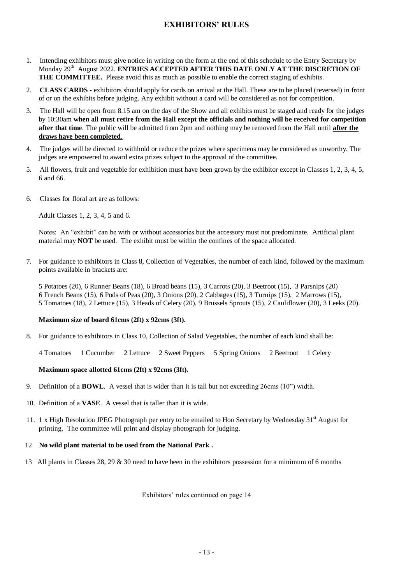## **EXHIBITORS' RULES**

- 1. Intending exhibitors must give notice in writing on the form at the end of this schedule to the Entry Secretary by Monday 29<sup>th</sup> August 2022. **ENTRIES ACCEPTED AFTER THIS DATE ONLY AT THE DISCRETION OF THE COMMITTEE.** Please avoid this as much as possible to enable the correct staging of exhibits.
- 2. **CLASS CARDS -** exhibitors should apply for cards on arrival at the Hall. These are to be placed (reversed) in front of or on the exhibits before judging. Any exhibit without a card will be considered as not for competition.
- 3. The Hall will be open from 8.15 am on the day of the Show and all exhibits must be staged and ready for the judges by 10:30am **when all must retire from the Hall except the officials and nothing will be received for competition after that time**. The public will be admitted from 2pm and nothing may be removed from the Hall until **after the draws have been completed**.
- 4. The judges will be directed to withhold or reduce the prizes where specimens may be considered as unworthy. The judges are empowered to award extra prizes subject to the approval of the committee.
- 5. All flowers, fruit and vegetable for exhibition must have been grown by the exhibitor except in Classes 1, 2, 3, 4, 5, 6 and 66.
- 6. Classes for floral art are as follows:

Adult Classes 1, 2, 3, 4, 5 and 6.

Notes: An "exhibit" can be with or without accessories but the accessory must not predominate. Artificial plant material may **NOT** be used. The exhibit must be within the confines of the space allocated.

7. For guidance to exhibitors in Class 8, Collection of Vegetables, the number of each kind, followed by the maximum points available in brackets are:

5 Potatoes (20), 6 Runner Beans (18), 6 Broad beans (15), 3 Carrots (20), 3 Beetroot (15), 3 Parsnips (20) 6 French Beans (15), 6 Pods of Peas (20), 3 Onions (20), 2 Cabbages (15), 3 Turnips (15), 2 Marrows (15), 5 Tomatoes (18), 2 Lettuce (15), 3 Heads of Celery (20), 9 Brussels Sprouts (15), 2 Cauliflower (20), 3 Leeks (20).

#### **Maximum size of board 61cms (2ft) x 92cms (3ft).**

8. For guidance to exhibitors in Class 10, Collection of Salad Vegetables, the number of each kind shall be:

4 Tomatoes 1 Cucumber 2 Lettuce 2 Sweet Peppers 5 Spring Onions 2 Beetroot 1 Celery

## **Maximum space allotted 61cms (2ft) x 92cms (3ft).**

- 9. Definition of a **BOWL**. A vessel that is wider than it is tall but not exceeding 26cms (10") width.
- 10. Definition of a **VASE**. A vessel that is taller than it is wide.
- 11. 1 x High Resolution JPEG Photograph per entry to be emailed to Hon Secretary by Wednesday  $31<sup>st</sup>$  August for printing. The committee will print and display photograph for judging.
- 12 **No wild plant material to be used from the National Park .**
- 13 All plants in Classes 28, 29 & 30 need to have been in the exhibitors possession for a minimum of 6 months

Exhibitors' rules continued on page 14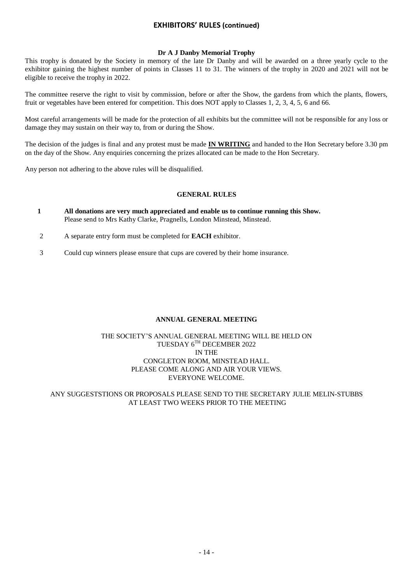## **EXHIBITORS' RULES (continued)**

#### **Dr A J Danby Memorial Trophy**

This trophy is donated by the Society in memory of the late Dr Danby and will be awarded on a three yearly cycle to the exhibitor gaining the highest number of points in Classes 11 to 31. The winners of the trophy in 2020 and 2021 will not be eligible to receive the trophy in 2022.

The committee reserve the right to visit by commission, before or after the Show, the gardens from which the plants, flowers, fruit or vegetables have been entered for competition. This does NOT apply to Classes 1, 2, 3, 4, 5, 6 and 66.

Most careful arrangements will be made for the protection of all exhibits but the committee will not be responsible for any loss or damage they may sustain on their way to, from or during the Show.

The decision of the judges is final and any protest must be made **IN WRITING** and handed to the Hon Secretary before 3.30 pm on the day of the Show. Any enquiries concerning the prizes allocated can be made to the Hon Secretary.

Any person not adhering to the above rules will be disqualified.

## **GENERAL RULES**

- **1 All donations are very much appreciated and enable us to continue running this Show.** Please send to Mrs Kathy Clarke, Pragnells, London Minstead, Minstead.
- 2 A separate entry form must be completed for **EACH** exhibitor.
- 3 Could cup winners please ensure that cups are covered by their home insurance.

#### **ANNUAL GENERAL MEETING**

## THE SOCIETY'S ANNUAL GENERAL MEETING WILL BE HELD ON TUESDAY 6TH DECEMBER 2022 IN THE CONGLETON ROOM, MINSTEAD HALL. PLEASE COME ALONG AND AIR YOUR VIEWS. EVERYONE WELCOME.

#### ANY SUGGESTSTIONS OR PROPOSALS PLEASE SEND TO THE SECRETARY JULIE MELIN-STUBBS AT LEAST TWO WEEKS PRIOR TO THE MEETING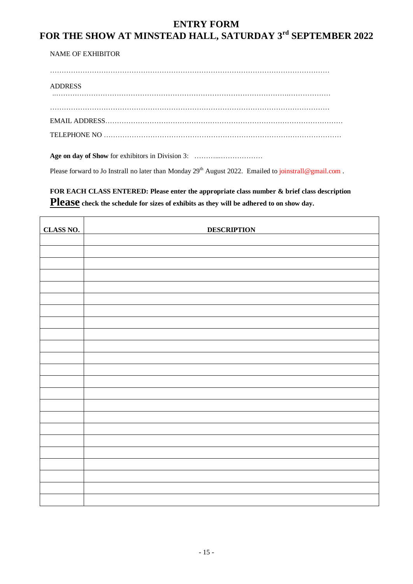## **ENTRY FORM FOR THE SHOW AT MINSTEAD HALL, SATURDAY 3rd SEPTEMBER 2022**

NAME OF EXHIBITOR

…………………………………………………………………………………………………………

ADDRESS ..……………………………………………………………………………………….………………

…………………………………………………………………………………………………………

EMAIL ADDRESS…………………………………………………………………………………………

TELEPHONE NO …………………………………………………………………………………………

**Age on day of Show** for exhibitors in Division 3: ………...………………

Please forward to Jo Instrall no later than Monday 29<sup>th</sup> August 2022. Emailed to joinstrall@gmail.com.

**FOR EACH CLASS ENTERED: Please enter the appropriate class number & brief class description Please check the schedule for sizes of exhibits as they will be adhered to on show day.**

| <b>CLASS NO.</b> | <b>DESCRIPTION</b> |
|------------------|--------------------|
|                  |                    |
|                  |                    |
|                  |                    |
|                  |                    |
|                  |                    |
|                  |                    |
|                  |                    |
|                  |                    |
|                  |                    |
|                  |                    |
|                  |                    |
|                  |                    |
|                  |                    |
|                  |                    |
|                  |                    |
|                  |                    |
|                  |                    |
|                  |                    |
|                  |                    |
|                  |                    |
|                  |                    |
|                  |                    |
|                  |                    |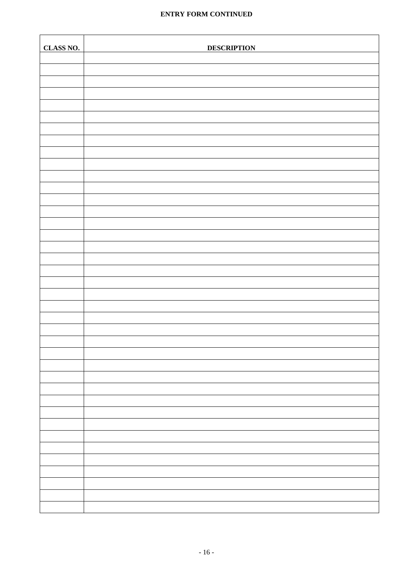## **ENTRY FORM CONTINUED**

| <b>CLASS NO.</b> | <b>DESCRIPTION</b> |
|------------------|--------------------|
|                  |                    |
|                  |                    |
|                  |                    |
|                  |                    |
|                  |                    |
|                  |                    |
|                  |                    |
|                  |                    |
|                  |                    |
|                  |                    |
|                  |                    |
|                  |                    |
|                  |                    |
|                  |                    |
|                  |                    |
|                  |                    |
|                  |                    |
|                  |                    |
|                  |                    |
|                  |                    |
|                  |                    |
|                  |                    |
|                  |                    |
|                  |                    |
|                  |                    |
|                  |                    |
|                  |                    |
|                  |                    |
|                  |                    |
|                  |                    |
|                  |                    |
|                  |                    |
|                  |                    |
|                  |                    |
|                  |                    |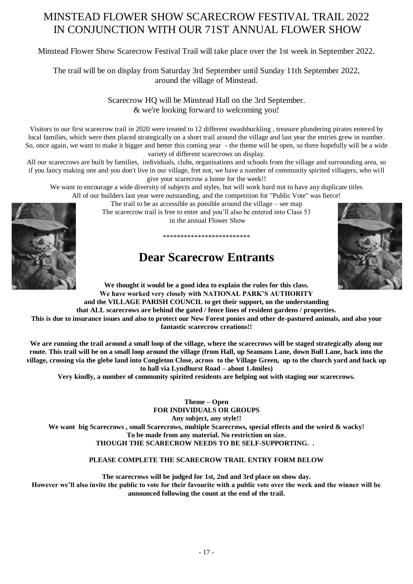## MINSTEAD FLOWER SHOW SCARECROW FESTIVAL TRAIL 2022 IN CONJUNCTION WITH OUR 71ST ANNUAL FLOWER SHOW

Minstead Flower Show Scarecrow Festival Trail will take place over the 1st week in September 2022.

The trail will be on display from Saturday 3rd September until Sunday 11th September 2022, around the village of Minstead.

> Scarecrow HQ will be Minstead Hall on the 3rd September. & we're looking forward to welcoming you!

Visitors to our first scarecrow trail in 2020 were treated to 12 different swashbuckling , treasure plundering pirates entered by local families, which were then placed strategically on a short trail around the village and last year the entries grew in number. So, once again, we want to make it bigger and better this coming year - the theme will be open, so there hopefully will be a wide variety of different scarecrows on display.

All our scarecrows are built by families, individuals, clubs, organisations and schools from the village and surrounding area, so if you fancy making one and you don't live in our village, fret not, we have a number of community spirited villagers, who will give your scarecrow a home for the week!!

We want to encourage a wide diversity of subjects and styles, but will work hard not to have any duplicate titles All of our builders last year were outstanding, and the competition for "Public Vote" was fierce!

The trail to be as accessible as possible around the village – see map

The scarecrow trail is free to enter and you'll also be entered into Class 53 in the annual Flower Show

\*\*\*\*\*\*\*\*\*\*\*\*\*\*\*\*\*\*\*\*\*\*\*\*\*

# **Dear Scarecrow Entrants**



**We thought it would be a good idea to explain the rules for this class. We have worked very closely with NATIONAL PARK'S AUTHORITY and the VILLAGE PARISH COUNCIL to get their support, on the understanding that ALL scarecrows are behind the gated / fence lines of resident gardens / properties. This is due to insurance issues and also to protect our New Forest ponies and other de-pastured animals, and also your** 

**fantastic scarecrow creations!!** 

**We are running the trail around a small loop of the village, where the scarecrows will be staged strategically along our route. This trail will be on a small loop around the village (from Hall, up Seamans Lane, down Bull Lane, back into the village, crossing via the glebe land into Congleton Close, across to the Village Green, up to the church yard and back up to hall via Lyndhurst Road – about 1.4miles)**

**Very kindly, a number of community spirited residents are helping out with staging our scarecrows.**

**Theme – Open FOR INDIVIDUALS OR GROUPS Any subject, any style!! We want big Scarecrows , small Scarecrows, multiple Scarecrows, special effects and the weird & wacky! To be made from any material. No restriction on size. THOUGH THE SCARECROW NEEDS TO BE SELF-SUPPORTING. .** 

## **PLEASE COMPLETE THE SCARECROW TRAIL ENTRY FORM BELOW**

**The scarecrows will be judged for 1st, 2nd and 3rd place on show day. However we'll also invite the public to vote for their favourite with a public vote over the week and the winner will be announced following the count at the end of the trail.**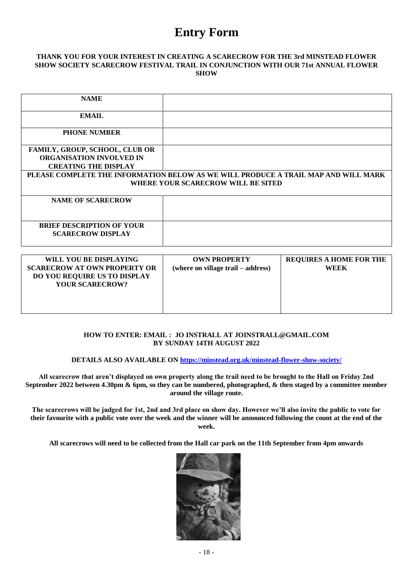## **Entry Form**

#### **THANK YOU FOR YOUR INTEREST IN CREATING A SCARECROW FOR THE 3rd MINSTEAD FLOWER SHOW SOCIETY SCARECROW FESTIVAL TRAIL IN CONJUNCTION WITH OUR 71st ANNUAL FLOWER SHOW**

| <b>NAME</b>                                                                                                              |  |  |  |  |
|--------------------------------------------------------------------------------------------------------------------------|--|--|--|--|
| <b>EMAIL</b>                                                                                                             |  |  |  |  |
| <b>PHONE NUMBER</b>                                                                                                      |  |  |  |  |
| <b>FAMILY, GROUP, SCHOOL, CLUB OR</b>                                                                                    |  |  |  |  |
| <b>ORGANISATION INVOLVED IN</b>                                                                                          |  |  |  |  |
| <b>CREATING THE DISPLAY</b>                                                                                              |  |  |  |  |
| PLEASE COMPLETE THE INFORMATION BELOW AS WE WILL PRODUCE A TRAIL MAP AND WILL MARK<br>WHERE YOUR SCARECROW WILL BE SITED |  |  |  |  |
| <b>NAME OF SCARECROW</b>                                                                                                 |  |  |  |  |
| <b>BRIEF DESCRIPTION OF YOUR</b><br><b>SCARECROW DISPLAY</b>                                                             |  |  |  |  |

| WILL YOU BE DISPLAYING              | <b>OWN PROPERTY</b>                | <b>REQUIRES A HOME FOR THE</b> |
|-------------------------------------|------------------------------------|--------------------------------|
| <b>SCARECROW AT OWN PROPERTY OR</b> | (where on village trail – address) | WEEK                           |
| <b>DO YOU REQUIRE US TO DISPLAY</b> |                                    |                                |
| <b>YOUR SCARECROW?</b>              |                                    |                                |
|                                     |                                    |                                |
|                                     |                                    |                                |
|                                     |                                    |                                |

## **HOW TO ENTER: EMAIL : JO INSTRALL AT JOINSTRALL@GMAIL.COM BY SUNDAY 14TH AUGUST 2022**

#### **DETAILS ALSO AVAILABLE ON<https://minstead.org.uk/minstead-flower-show-society/>**

**All scarecrow that aren't displayed on own property along the trail need to be brought to the Hall on Friday 2nd September 2022 between 4.30pm & 6pm, so they can be numbered, photographed, & then staged by a committee member around the village route.** 

**The scarecrows will be judged for 1st, 2nd and 3rd place on show day. However we'll also invite the public to vote for their favourite with a public vote over the week and the winner will be announced following the count at the end of the week.**

**All scarecrows will need to be collected from the Hall car park on the 11th September from 4pm onwards**